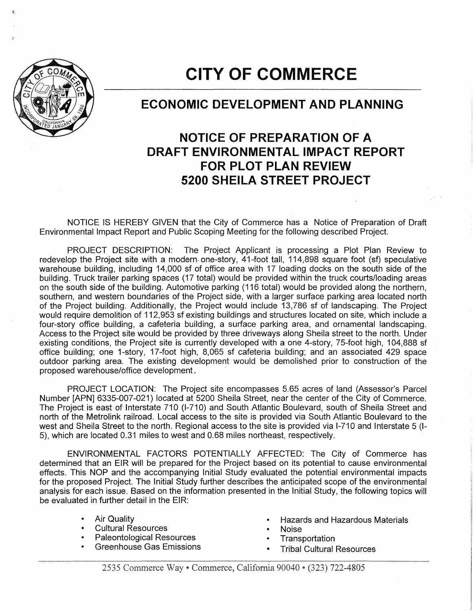

## **CITY OF COMMERCE**

## **ECONOMIC DEVELOPMENT AND PLANNING**

## **NOTICE OF PREPARATION OF A DRAFT ENVIRONMENTAL IMPACT REPORT FOR PLOT PLAN REVIEW 5200 SHEILA STREET PROJECT**

NOTICE IS HEREBY GIVEN that the City of Commerce has a Notice of Preparation of Draft Environmental Impact Report and Public Scoping Meeting for the following described Project.

PROJECT DESCRIPTION: The Project Applicant is processing a Plot Plan Review to redevelop the Project site with a modern- one-story, 41-foot tall, 114,898 square foot (sf) speculative warehouse building, including 14,000 sf of office area with 17 loading docks on the south side of the building. Truck trailer parking spaces (17 total) would be provided within the truck courts/loading areas on the south side of the building. Automotive parking (116 total) would be provided along the northern, southern, and western boundaries of the Project side, with a larger surface parking area located north of the Project building. Additionally, the Project would include 13,786 sf of landscaping. The Project would require demolition of 112,953 sf existing buildings and structures located on site, which include a four-story office building, a cafeteria building, a surface parking area, and ornamental landscaping. Access to the Project site would be provided by three driveways along Sheila street to the north. Under existing conditions, the Project site is currently developed with a one 4-story, 75-foot high, 104,888 sf office building; one 1-story, 17-foot high, 8,065 sf cafeteria building; and an associated 429 space outdoor parking area. The existing development would be demolished prior to construction of the proposed warehouse/office development.

PROJECT LOCATION: The Project site encompasses 5.65 acres of land (Assessor's Parcel Number [APN] 6335-007-021) located at 5200 Sheila Street, near the center of the City of Commerce. The Project is east of Interstate 710 (1-710) and South Atlantic Boulevard, south of Sheila Street and north of the Metrolink railroad. Local access to the site is provided via South Atlantic Boulevard to the west and Sheila Street to the north. Regional access to the site is provided via 1-710 and Interstate 5 (1- 5), which are located 0.31 miles to west and 0.68 miles northeast, respectively.

ENVIRONMENTAL FACTORS POTENTIALLY AFFECTED: The City of Commerce has determined that an EIR will be prepared for the Project based on its potential to cause environmental effects. This NOP and the accompanying Initial Study evaluated the potential environmental impacts for the proposed Project. The Initial Study further describes the anticipated scope of the environmental analysis for each issue. Based on the information presented in the Initial Study, the following topics will be evaluated in further detail in the EIR:

- 
- Cultural Resources Noise
- Paleontological Resources Transportation
- 
- Air Quality Hazards and Hazardous Materials
	-
	-
	- **Tribal Cultural Resources**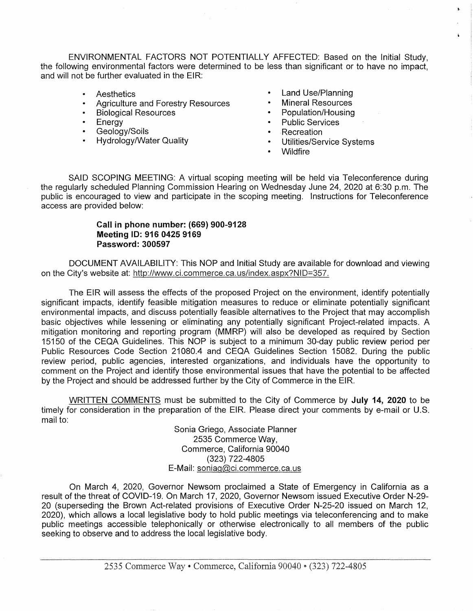ENVIRONMENTAL FACTORS NOT POTENTIALLY AFFECTED: Based on the Initial Study, the following environmental factors were determined to be less than significant or to have no impact, and will not be further evaluated in the EIR:

- **Aesthetics**
- Agriculture and Forestry Resources
- Biological Resources
- Energy  $\bullet$
- Geology/Soils
- Hydrology/Water Quality
- Land Use/Planning
- Mineral Resources
- Population/Housing
- Public Services
- Recreation
- Utilities/Service Systems
- Wildfire

SAID SCOPING MEETING: A virtual scoping meeting will be held via Teleconference during the regularly scheduled Planning Commission Hearing on Wednesday June 24, 2020 at 6:30 p.m. The public is encouraged to view and participate in the scoping meeting. Instructions for Teleconference access are provided below:

## **Call in phone number: (669) 900-9128 Meeting ID: 916 0425 9169 Password: 300597**

DOCUMENT AVAILABILITY: This NOP and Initial Study are available for download and viewing on the City's website at: http://www.ci.commerce.ca.us/index.aspx?NID=357.

The EIR will assess the effects of the proposed Project on the environment, identify potentially significant impacts, identify feasible mitigation measures to reduce or eliminate potentially significant environmental impacts, and discuss potentially feasible alternatives to the Project that may accomplish basic objectives while lessening or eliminating any potentially significant Project-related impacts. A mitigation monitoring and reporting program (MMRP) will also be developed as required by Section 15150 of the CEQA Guidelines. This NOP is subject to a minimum 30-day public review period per Public Resources Code Section 21080.4 and CEQA Guidelines Section 15082. During the public review period, public agencies, interested organizations, and individuals have the opportunity to comment on the Project and identify those environmental issues that have the potential to be affected by the Project and should be addressed further by the City of Commerce in the EIR.

WRITTEN COMMENTS must be submitted to the City of Commerce by **July 14, 2020** to be timely for consideration in the preparation of the EIR. Please direct your comments by e-mail or U.S. mail to:

> Sonia Griego, Associate Planner 2535 Commerce Way, Commerce, California 90040 (323) 722-4805 E-Mail: soniag@ci.commerce.ca.us

On March 4, 2020, Governor Newsom proclaimed a State of Emergency in California as a result of the threat of COVID-19. On March 17, 2020, Governor Newsom issued Executive Order N-29- 20 (superseding the Brown Act-related provisions of Executive Order N-25-20 issued on March 12, 2020), which allows a local legislative body to hold public meetings via teleconferencing and to make public meetings accessible telephonically or otherwise electronically to all members of the public seeking to observe and to address the local legislative body.